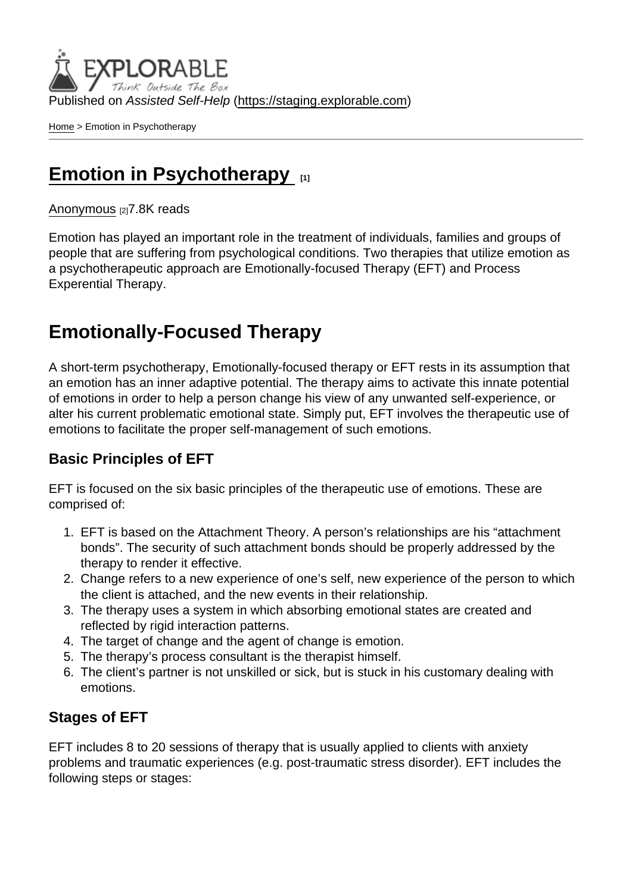Published on Assisted Self-Help [\(https://staging.explorable.com](https://staging.explorable.com))

[Home](https://staging.explorable.com/en) > Emotion in Psychotherapy

# [Emotion in Psychotherapy](https://staging.explorable.com/en/emotion-in-psychotherapy)  $\frac{1}{11}$

#### [Anonymous](https://staging.explorable.com/en/users/sarah) [2] 7.8K reads

Emotion has played an important role in the treatment of individuals, families and groups of people that are suffering from psychological conditions. Two therapies that utilize emotion as a psychotherapeutic approach are Emotionally-focused Therapy (EFT) and Process Experential Therapy.

## Emotionally-Focused Therapy

A short-term psychotherapy, Emotionally-focused therapy or EFT rests in its assumption that an emotion has an inner adaptive potential. The therapy aims to activate this innate potential of emotions in order to help a person change his view of any unwanted self-experience, or alter his current problematic emotional state. Simply put, EFT involves the therapeutic use of emotions to facilitate the proper self-management of such emotions.

### Basic Principles of EFT

EFT is focused on the six basic principles of the therapeutic use of emotions. These are comprised of:

- 1. EFT is based on the Attachment Theory. A person's relationships are his "attachment bonds". The security of such attachment bonds should be properly addressed by the therapy to render it effective.
- 2. Change refers to a new experience of one's self, new experience of the person to which the client is attached, and the new events in their relationship.
- 3. The therapy uses a system in which absorbing emotional states are created and reflected by rigid interaction patterns.
- 4. The target of change and the agent of change is emotion.
- 5. The therapy's process consultant is the therapist himself.
- 6. The client's partner is not unskilled or sick, but is stuck in his customary dealing with emotions.

### Stages of EFT

EFT includes 8 to 20 sessions of therapy that is usually applied to clients with anxiety problems and traumatic experiences (e.g. post-traumatic stress disorder). EFT includes the following steps or stages: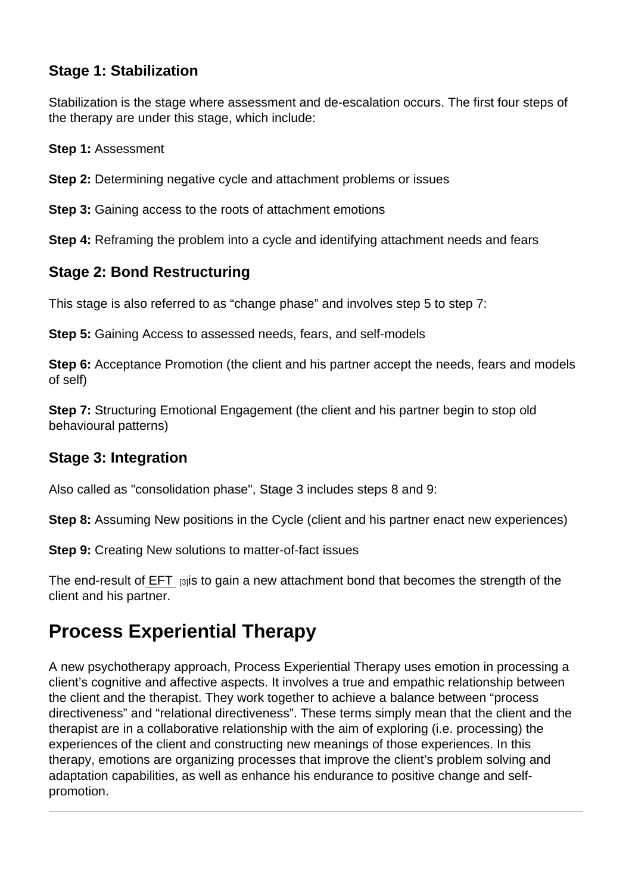Stage 1: Stabilization

Stabilization is the stage where assessment and de-escalation occurs. The first four steps of the therapy are under this stage, which include:

Step 1: Assessment

Step 2: Determining negative cycle and attachment problems or issues

Step 3: Gaining access to the roots of attachment emotions

Step 4: Reframing the problem into a cycle and identifying attachment needs and fears

### Stage 2: Bond Restructuring

This stage is also referred to as "change phase" and involves step 5 to step 7:

Step 5: Gaining Access to assessed needs, fears, and self-models

Step 6: Acceptance Promotion (the client and his partner accept the needs, fears and models of self)

Step 7: Structuring Emotional Engagement (the client and his partner begin to stop old behavioural patterns)

#### Stage 3: Integration

Also called as "consolidation phase", Stage 3 includes steps 8 and 9:

Step 8: Assuming New positions in the Cycle (client and his partner enact new experiences)

Step 9: Creating New solutions to matter-of-fact issues

The end-result of [EFT](http://www.iceeft.com) [3] is to gain a new attachment bond that becomes the strength of the client and his partner.

## Process Experiential Therapy

A new psychotherapy approach, Process Experiential Therapy uses emotion in processing a client's cognitive and affective aspects. It involves a true and empathic relationship between the client and the therapist. They work together to achieve a balance between "process directiveness" and "relational directiveness". These terms simply mean that the client and the therapist are in a collaborative relationship with the aim of exploring (i.e. processing) the experiences of the client and constructing new meanings of those experiences. In this therapy, emotions are organizing processes that improve the client's problem solving and adaptation capabilities, as well as enhance his endurance to positive change and selfpromotion.